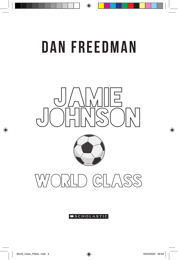## Dan Freedman

♠







#### **MSCHOLASTIC**

◈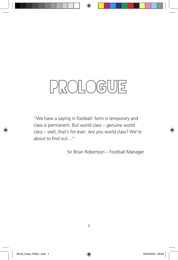### PROLOGUE

"We have a saying in football: form is temporary and class is permanent. But world class – genuine world class – well, that's for ever. Are *you* world class? We're about to find out…"

Sir Brian Robertson – Football Manager

4

◈

1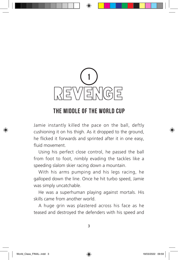

#### The middle of the World Cup

Jamie instantly killed the pace on the ball, deftly cushioning it on his thigh. As it dropped to the ground, he flicked it forwards and sprinted after it in one easy, fluid movement.

Using his perfect close control, he passed the ball from foot to foot, nimbly evading the tackles like a speeding slalom skier racing down a mountain.

With his arms pumping and his legs racing, he galloped down the line. Once he hit turbo speed, Jamie was simply uncatchable.

He was a superhuman playing against mortals. His skills came from another world.

A huge grin was plastered across his face as he teased and destroyed the defenders with his speed and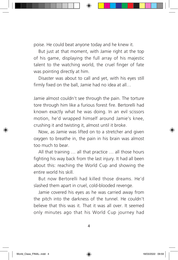poise. He could beat anyone today and he knew it.

But just at that moment, with Jamie right at the top of his game, displaying the full array of his majestic talent to the watching world, the cruel finger of fate was pointing directly at him.

Disaster was about to call and yet, with his eyes still firmly fixed on the ball, Jamie had no idea at all…

Jamie almost couldn't see through the pain. The torture tore through him like a furious forest fire. Bertorelli had known exactly what he was doing. In an evil scissors motion, he'd wrapped himself around Jamie's knee, crushing it and twisting it, almost until it broke.

Now, as Jamie was lifted on to a stretcher and given oxygen to breathe in, the pain in his brain was almost too much to bear.

All that training … all that practice … all those hours fighting his way back from the last injury. It had all been about this: reaching the World Cup and showing the entire world his skill.

But now Bertorelli had killed those dreams. He'd slashed them apart in cruel, cold-blooded revenge.

Jamie covered his eyes as he was carried away from the pitch into the darkness of the tunnel. He couldn't believe that this was it. That it was all over. It seemed only minutes ago that his World Cup journey had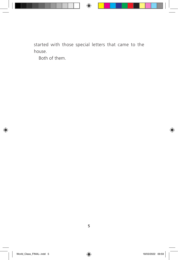$\bigoplus$ 

started with those special letters that came to the house.

Both of them.

◈

◈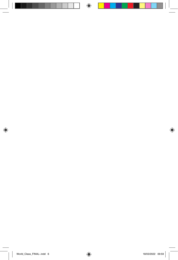

 $\overline{\phantom{0}}$ 

 $\bigcirc$ 

a sa Tan

 $\bigoplus$ 

a a shekara

⊓

 $\overline{\phantom{a}}$ 

┑

 $\blacksquare$ 

 $\bigoplus$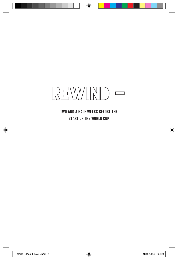

⊕

two and a half weeks before the START OF THE WORLD CUP

◈

◈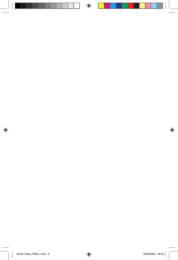

 $\equiv$ 

 $\bigcirc$ 

a sa Tan

 $\bigoplus$ 

a a shekara

H

 $\overline{\phantom{a}}$ 

┑

 $\blacksquare$ 

 $\bigoplus$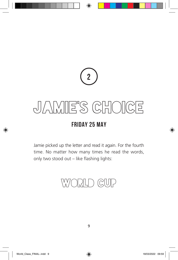# 2

## JAME'S CHOICE

### Friday 25 May

Jamie picked up the letter and read it again. For the fourth time. No matter how many times he read the words, only two stood out – like flashing lights:



◈

◈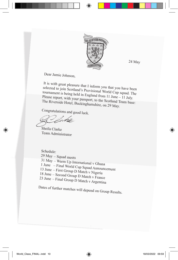

24 May

Dear Jamie Johnson,

It is with great pleasure that I inform you that you have been selected to join Scotland's Provisional World Cup squad. The tournament is being held in England from 11 June – 11 July. Please report, with your passport, to the Scotland Team base: The Riverside Hotel, Buckinghamshire, on 29 May.

Congratulations and good luck.

Sheila Clarke Team Administrator

Schedule: 29 May – Squad meets 31 May – Warm Up International v Ghana 1 June – Final World Cup Squad Announcement 13 June – First Group D Match v Nigeria 18 June – Second Group D Match v France 23 June – Final Group D Match v Argentina

Dates of further matches will depend on Group Results.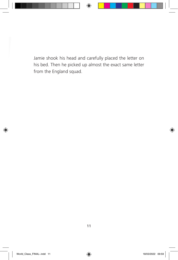Jamie shook his head and carefully placed the letter on his bed. Then he picked up almost the exact same letter from the England squad.

 $\bigoplus$ 

⊕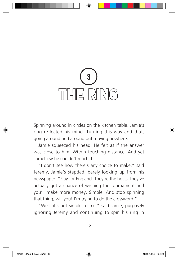

Spinning around in circles on the kitchen table, Jamie's ring reflected his mind. Turning this way and that, going around and around but moving nowhere.

Jamie squeezed his head. He felt as if the answer was close to him. Within touching distance. And yet somehow he couldn't reach it.

"I don't see how there's any choice to make," said Jeremy, Jamie's stepdad, barely looking up from his newspaper. "Play for England. They're the hosts, they've actually got a chance of winning the tournament and you'll make more money. Simple. And stop spinning that thing, will you! I'm trying to do the crossword."

"Well, it's not simple to me," said Jamie, purposely ignoring Jeremy and continuing to spin his ring in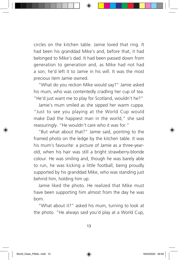circles on the kitchen table. Jamie loved that ring. It had been his granddad Mike's and, before that, it had belonged to Mike's dad. It had been passed down from generation to generation and, as Mike had not had a son, he'd left it to Jamie in his will. It was the most precious item Jamie owned.

"What do you reckon Mike would say?" Jamie asked his mum, who was contentedly cradling her cup of tea. "He'd just want me to play for Scotland, wouldn't he?"

Jamie's mum smiled as she sipped her warm cuppa. "Just to see you playing at the World Cup would make Dad the happiest man in the world," she said reassuringly. "He wouldn't care who it was for."

"But what about that?" Jamie said, pointing to the framed photo on the ledge by the kitchen table. It was his mum's favourite: a picture of Jamie as a three-yearold, when his hair was still a bright strawberry-blonde colour. He was smiling and, though he was barely able to run, he was kicking a little football, being proudly supported by his granddad Mike, who was standing just behind him, holding him up.

Jamie liked the photo. He realized that Mike must have been supporting him almost from the day he was born.

"What about it?" asked his mum, turning to look at the photo. "He always said you'd play at a World Cup,